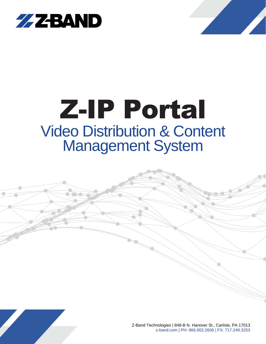



# Z-IP Portal Video Distribution & Content Management System



Z-Band Technologies | 848-B N. Hanover St., Carlisle, PA 17013 z-band.com | PH: 866.902.2606 | FX: 717.249.3253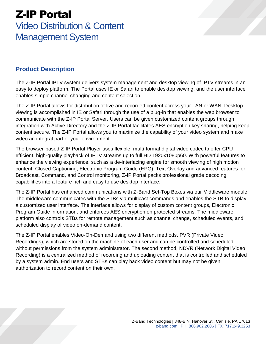# Z-IP Portal

### Video Distribution & Content Management System

#### **Product Description**

The Z-IP Portal IPTV system delivers system management and desktop viewing of IPTV streams in an easy to deploy platform. The Portal uses IE or Safari to enable desktop viewing, and the user interface enables simple channel changing and content selection.

The Z-IP Portal allows for distribution of live and recorded content across your LAN or WAN. Desktop viewing is accomplished in IE or Safari through the use of a plug-in that enables the web browser to communicate with the Z-IP Portal Server. Users can be given customized content groups through integration with Active Directory and the Z-IP Portal facilitates AES encryption key sharing, helping keep content secure. The Z-IP Portal allows you to maximize the capability of your video system and make video an integral part of your environment.

The browser-based Z-IP Portal Player uses flexible, multi-format digital video codec to offer CPUefficient, high-quality playback of IPTV streams up to full HD 1920x1080p60. With powerful features to enhance the viewing experience, such as a de-interlacing engine for smooth viewing of high motion content, Closed Captioning, Electronic Program Guide (EPG), Text Overlay and advanced features for Broadcast, Command, and Control monitoring, Z-IP Portal packs professional grade decoding capabilities into a feature rich and easy to use desktop interface.

The Z-IP Portal has enhanced communications with Z-Band Set-Top Boxes via our Middleware module. The middleware communicates with the STBs via multicast commands and enables the STB to display a customized user interface. The interface allows for display of custom content groups, Electronic Program Guide information, and enforces AES encryption on protected streams. The middleware platform also controls STBs for remote management such as channel change, scheduled events, and scheduled display of video on-demand content.

The Z-IP Portal enables Video-On-Demand using two different methods. PVR (Private Video Recordings), which are stored on the machine of each user and can be controlled and scheduled without permissions from the system administrator. The second method, NDVR (Network Digital Video Recording) is a centralized method of recording and uploading content that is controlled and scheduled by a system admin. End users and STBs can play back video content but may not be given authorization to record content on their own.